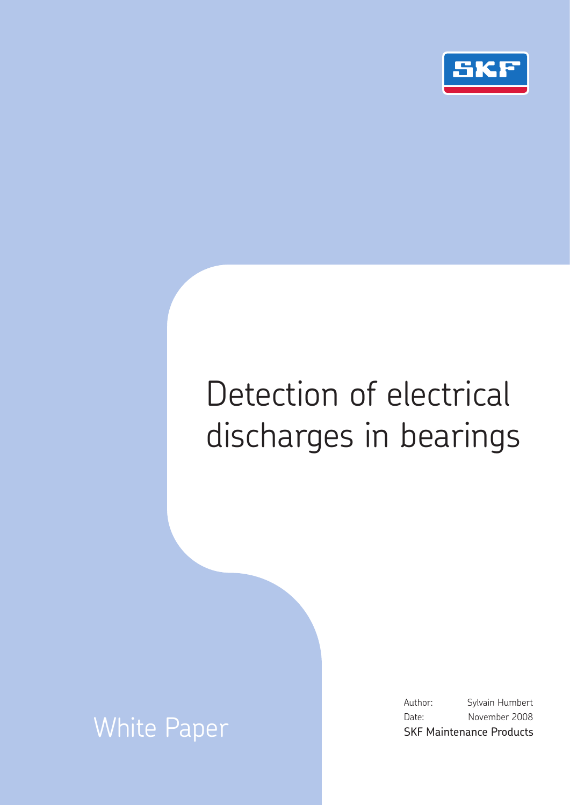

# Detection of electrical discharges in bearings

# White Paper

Author: Sylvain Humbert Date: November 2008 SKF Maintenance Products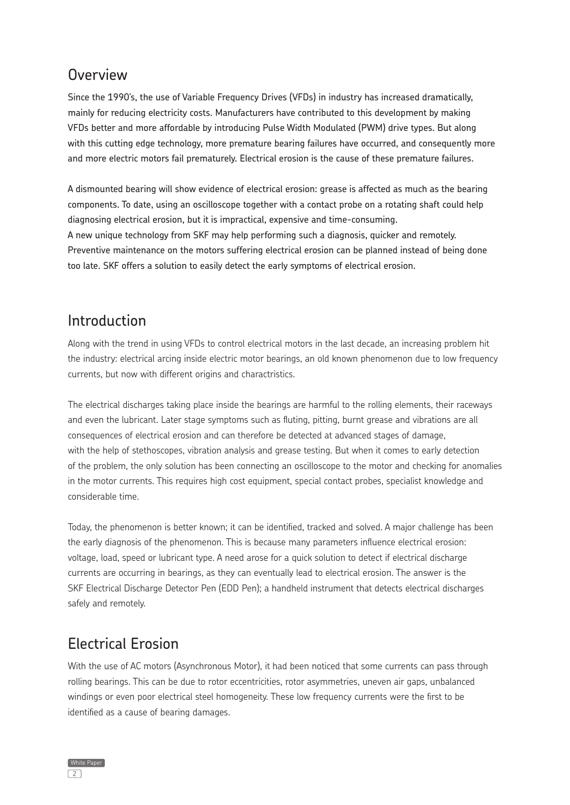## **Overview**

Since the 1990's, the use of Variable Frequency Drives (VFDs) in industry has increased dramatically, mainly for reducing electricity costs. Manufacturers have contributed to this development by making VFDs better and more affordable by introducing Pulse Width Modulated (PWM) drive types. But along with this cutting edge technology, more premature bearing failures have occurred, and consequently more and more electric motors fail prematurely. Electrical erosion is the cause of these premature failures.

A dismounted bearing will show evidence of electrical erosion: grease is affected as much as the bearing components. To date, using an oscilloscope together with a contact probe on a rotating shaft could help diagnosing electrical erosion, but it is impractical, expensive and time-consuming. A new unique technology from SKF may help performing such a diagnosis, quicker and remotely. Preventive maintenance on the motors suffering electrical erosion can be planned instead of being done too late. SKF offers a solution to easily detect the early symptoms of electrical erosion.

#### Introduction

Along with the trend in using VFDs to control electrical motors in the last decade, an increasing problem hit the industry: electrical arcing inside electric motor bearings, an old known phenomenon due to low frequency currents, but now with different origins and charactristics.

The electrical discharges taking place inside the bearings are harmful to the rolling elements, their raceways and even the lubricant. Later stage symptoms such as fluting, pitting, burnt grease and vibrations are all consequences of electrical erosion and can therefore be detected at advanced stages of damage, with the help of stethoscopes, vibration analysis and grease testing. But when it comes to early detection of the problem, the only solution has been connecting an oscilloscope to the motor and checking for anomalies in the motor currents. This requires high cost equipment, special contact probes, specialist knowledge and considerable time.

Today, the phenomenon is better known; it can be identified, tracked and solved. A major challenge has been the early diagnosis of the phenomenon. This is because many parameters influence electrical erosion: voltage, load, speed or lubricant type. A need arose for a quick solution to detect if electrical discharge currents are occurring in bearings, as they can eventually lead to electrical erosion. The answer is the SKF Electrical Discharge Detector Pen (EDD Pen); a handheld instrument that detects electrical discharges safely and remotely.

# Electrical Erosion

With the use of AC motors (Asynchronous Motor), it had been noticed that some currents can pass through rolling bearings. This can be due to rotor eccentricities, rotor asymmetries, uneven air gaps, unbalanced windings or even poor electrical steel homogeneity. These low frequency currents were the first to be identified as a cause of bearing damages.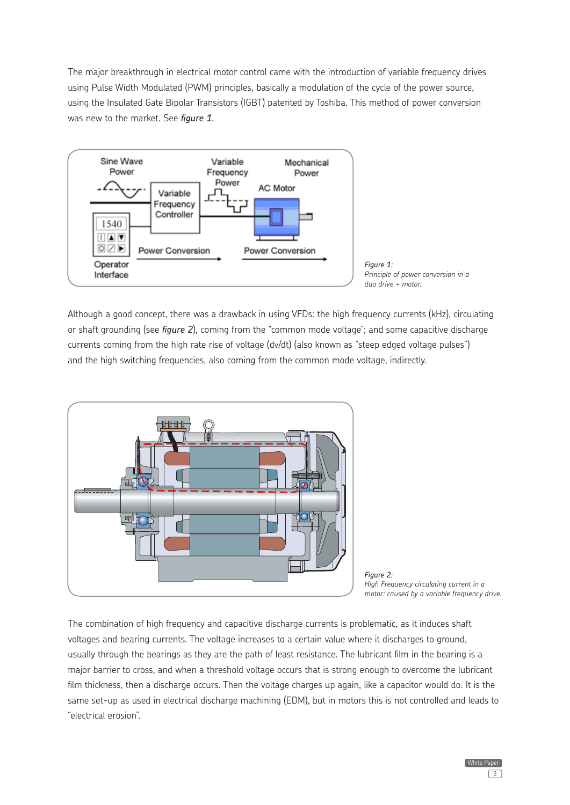The major breakthrough in electrical motor control came with the introduction of variable frequency drives using Pulse Width Modulated (PWM) principles, basically a modulation of the cycle of the power source, using the Insulated Gate Bipolar Transistors (IGBT) patented by Toshiba. This method of power conversion was new to the market. See *figure 1*.



Although a good concept, there was a drawback in using VFDs: the high frequency currents (kHz), circulating or shaft grounding (see *figure 2*), coming from the "common mode voltage"; and some capacitive discharge currents coming from the high rate rise of voltage (dv/dt) (also known as "steep edged voltage pulses") and the high switching frequencies, also coming from the common mode voltage, indirectly.



*Figure 2: High Frequency circulating current in a motor: caused by a variable frequency drive.*

The combination of high frequency and capacitive discharge currents is problematic, as it induces shaft voltages and bearing currents. The voltage increases to a certain value where it discharges to ground, usually through the bearings as they are the path of least resistance. The lubricant film in the bearing is a major barrier to cross, and when a threshold voltage occurs that is strong enough to overcome the lubricant film thickness, then a discharge occurs. Then the voltage charges up again, like a capacitor would do. It is the same set-up as used in electrical discharge machining (EDM), but in motors this is not controlled and leads to "electrical erosion".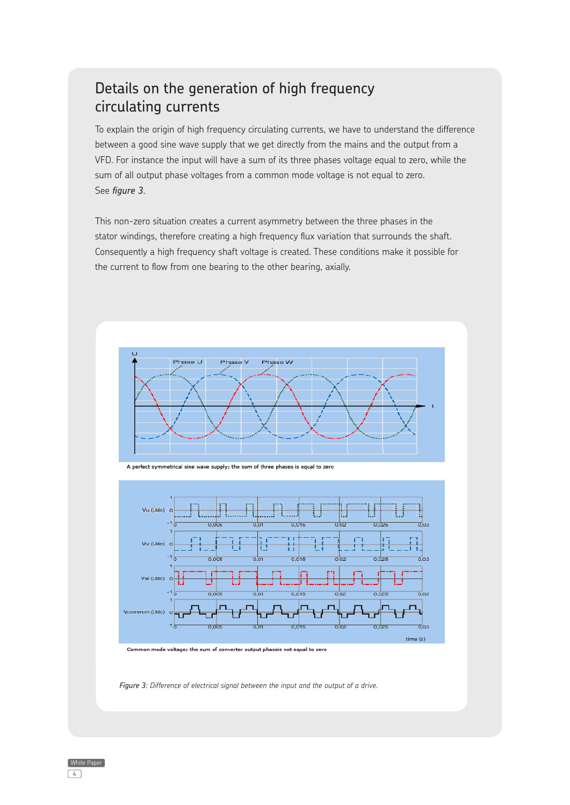### Details on the generation of high frequency circulating currents

To explain the origin of high frequency circulating currents, we have to understand the difference between a good sine wave supply that we get directly from the mains and the output from a VFD. For instance the input will have a sum of its three phases voltage equal to zero, while the sum of all output phase voltages from a common mode voltage is not equal to zero. See *figure 3*.

This non-zero situation creates a current asymmetry between the three phases in the stator windings, therefore creating a high frequency flux variation that surrounds the shaft. Consequently a high frequency shaft voltage is created. These conditions make it possible for the current to flow from one bearing to the other bearing, axially.







Common mode voltage; the sum of converter output phaseis not equal to zero

*Figure 3: Difference of electrical signal between the input and the output of a drive.*

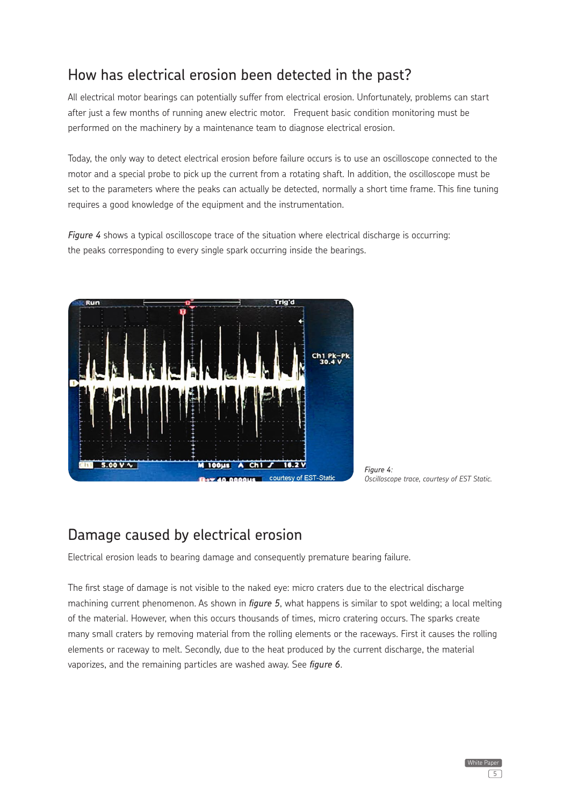# How has electrical erosion been detected in the past?

All electrical motor bearings can potentially suffer from electrical erosion. Unfortunately, problems can start after just a few months of running anew electric motor. Frequent basic condition monitoring must be performed on the machinery by a maintenance team to diagnose electrical erosion.

Today, the only way to detect electrical erosion before failure occurs is to use an oscilloscope connected to the motor and a special probe to pick up the current from a rotating shaft. In addition, the oscilloscope must be set to the parameters where the peaks can actually be detected, normally a short time frame. This fine tuning requires a good knowledge of the equipment and the instrumentation.

*Figure 4* shows a typical oscilloscope trace of the situation where electrical discharge is occurring: the peaks corresponding to every single spark occurring inside the bearings.



*Figure 4: Oscilloscope trace, courtesy of EST Static.*

#### Damage caused by electrical erosion

Electrical erosion leads to bearing damage and consequently premature bearing failure.

The first stage of damage is not visible to the naked eye: micro craters due to the electrical discharge machining current phenomenon. As shown in *figure 5*, what happens is similar to spot welding; a local melting of the material. However, when this occurs thousands of times, micro cratering occurs. The sparks create many small craters by removing material from the rolling elements or the raceways. First it causes the rolling elements or raceway to melt. Secondly, due to the heat produced by the current discharge, the material vaporizes, and the remaining particles are washed away. See *figure 6*.

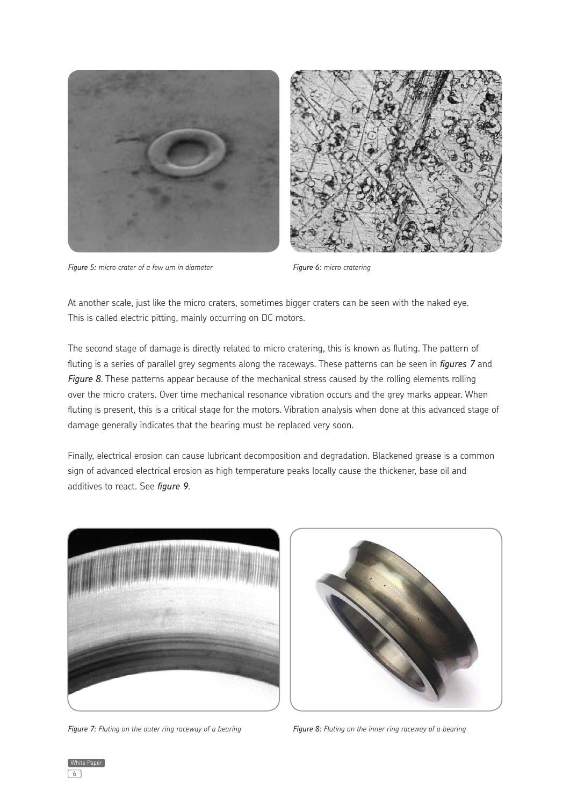



*Figure 5: micro crater of a few um in diameter*

*Figure 6: micro cratering*

At another scale, just like the micro craters, sometimes bigger craters can be seen with the naked eye. This is called electric pitting, mainly occurring on DC motors.

The second stage of damage is directly related to micro cratering, this is known as fluting. The pattern of fluting is a series of parallel grey segments along the raceways. These patterns can be seen in *figures 7* and *Figure 8*. These patterns appear because of the mechanical stress caused by the rolling elements rolling over the micro craters. Over time mechanical resonance vibration occurs and the grey marks appear. When fluting is present, this is a critical stage for the motors. Vibration analysis when done at this advanced stage of damage generally indicates that the bearing must be replaced very soon.

Finally, electrical erosion can cause lubricant decomposition and degradation. Blackened grease is a common sign of advanced electrical erosion as high temperature peaks locally cause the thickener, base oil and additives to react. See *figure 9*.



*Figure 7: Fluting on the outer ring raceway of a bearing*



*Figure 8: Fluting on the inner ring raceway of a bearing*

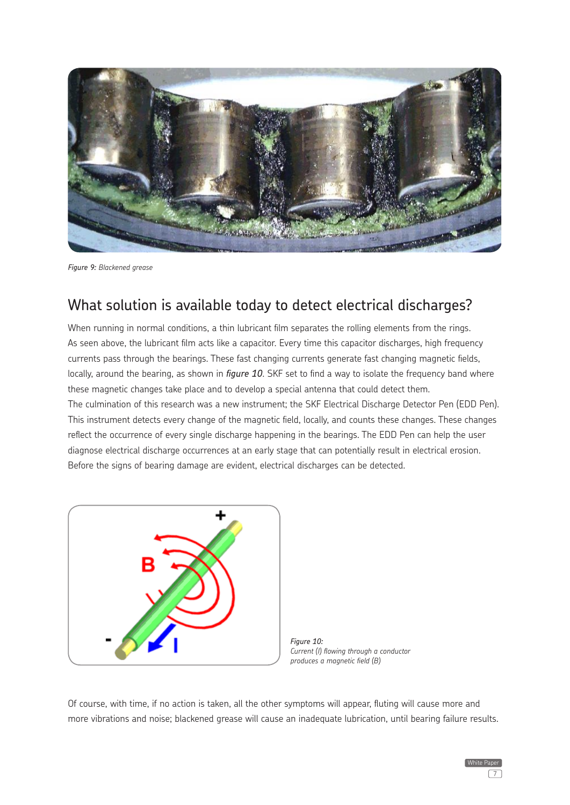

*Figure 9: Blackened grease*

#### What solution is available today to detect electrical discharges?

When running in normal conditions, a thin lubricant film separates the rolling elements from the rings. As seen above, the lubricant film acts like a capacitor. Every time this capacitor discharges, high frequency currents pass through the bearings. These fast changing currents generate fast changing magnetic fields, locally, around the bearing, as shown in *figure 10*. SKF set to find a way to isolate the frequency band where these magnetic changes take place and to develop a special antenna that could detect them. The culmination of this research was a new instrument; the SKF Electrical Discharge Detector Pen (EDD Pen). This instrument detects every change of the magnetic field, locally, and counts these changes. These changes reflect the occurrence of every single discharge happening in the bearings. The EDD Pen can help the user diagnose electrical discharge occurrences at an early stage that can potentially result in electrical erosion. Before the signs of bearing damage are evident, electrical discharges can be detected.



*Figure 10: Current (I) flowing through a conductor produces a magnetic field (B)*

Of course, with time, if no action is taken, all the other symptoms will appear, fluting will cause more and more vibrations and noise; blackened grease will cause an inadequate lubrication, until bearing failure results.

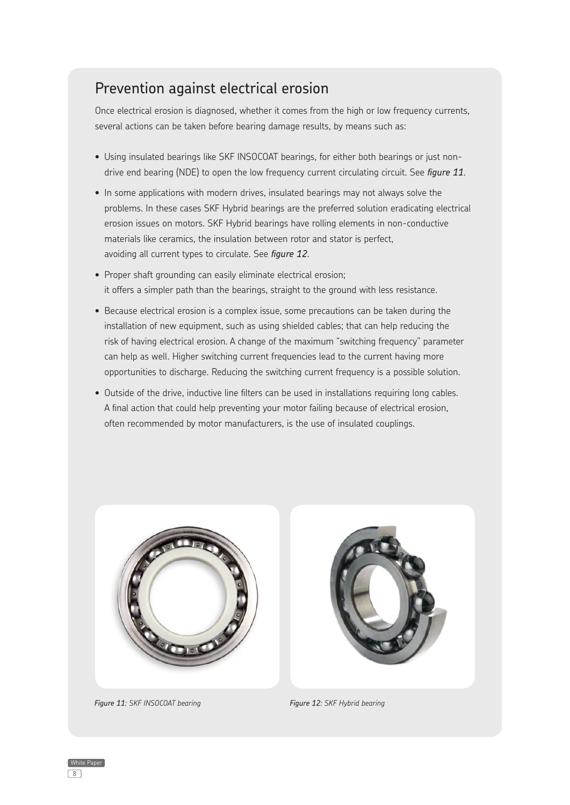# Prevention against electrical erosion

Once electrical erosion is diagnosed, whether it comes from the high or low frequency currents, several actions can be taken before bearing damage results, by means such as:

- Using insulated bearings like SKF INSOCOAT bearings, for either both bearings or just nondrive end bearing (NDE) to open the low frequency current circulating circuit. See *figure 11*.
- In some applications with modern drives, insulated bearings may not always solve the problems. In these cases SKF Hybrid bearings are the preferred solution eradicating electrical erosion issues on motors. SKF Hybrid bearings have rolling elements in non-conductive materials like ceramics, the insulation between rotor and stator is perfect, avoiding all current types to circulate. See *figure 12*.
- Proper shaft grounding can easily eliminate electrical erosion; it offers a simpler path than the bearings, straight to the ground with less resistance.
- Because electrical erosion is a complex issue, some precautions can be taken during the installation of new equipment, such as using shielded cables; that can help reducing the risk of having electrical erosion. A change of the maximum "switching frequency" parameter can help as well. Higher switching current frequencies lead to the current having more opportunities to discharge. Reducing the switching current frequency is a possible solution.
- Outside of the drive, inductive line filters can be used in installations requiring long cables. A final action that could help preventing your motor failing because of electrical erosion, often recommended by motor manufacturers, is the use of insulated couplings.